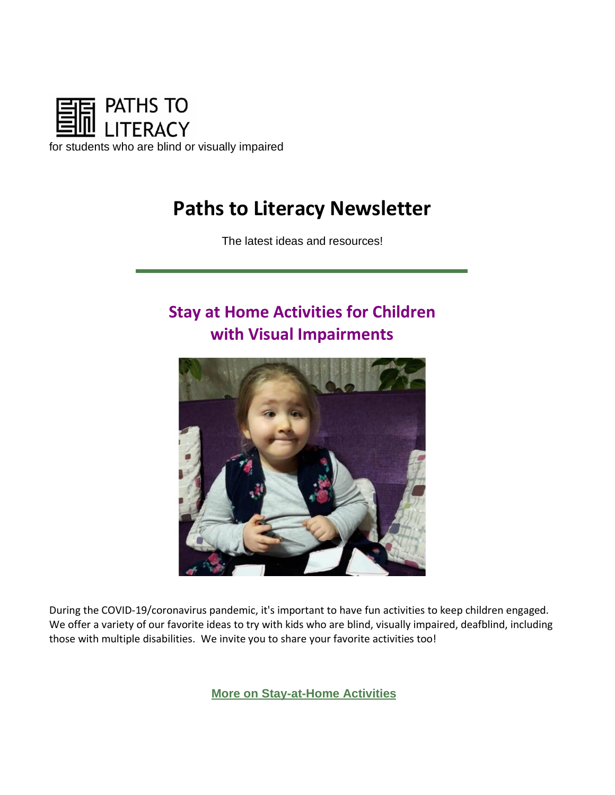

# **Paths to Literacy Newsletter**

The latest ideas and resources!

# **Stay at Home Activities for Children with Visual Impairments**



During the COVID-19/coronavirus pandemic, it's important to have fun activities to keep children engaged. We offer a variety of our favorite ideas to try with kids who are blind, visually impaired, deafblind, including those with multiple disabilities. We invite you to share your favorite activities too!

**[More on Stay-at-Home Activit](https://urldefense.com/v3/__https:/pathstoliteracy.cmail19.com/t/d-l-mjtklut-gkriyijjj-d/__;!!JYXjzlvb!yefykLHHkCHq2h51NJg8XxW2xazWnIqlyh6vYadsLPK0yvjpMz3K1rxc_vYfRZA$)ies**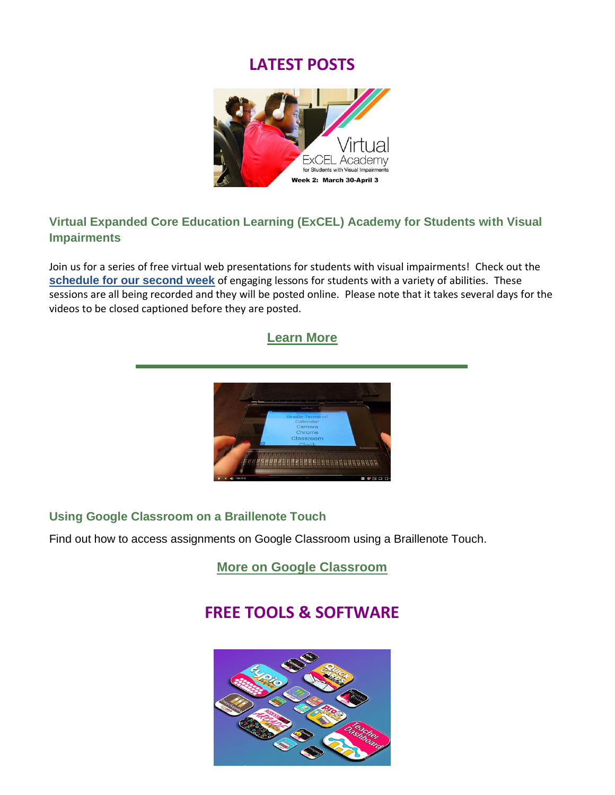## **LATEST POSTS**



#### **Virtual Expanded Core Education Learning (ExCEL) Academy for Students with Visual Impairments**

Join us for a series of free virtual web presentations for students with visual impairments! Check out the **[schedule for our second week](https://urldefense.com/v3/__https:/pathstoliteracy.cmail19.com/t/d-l-mjtklut-gkriyijjj-o/__;!!JYXjzlvb!yefykLHHkCHq2h51NJg8XxW2xazWnIqlyh6vYadsLPK0yvjpMz3K1rxckAbwgxw$)** of engaging lessons for students with a variety of abilities. These sessions are all being recorded and they will be posted online. Please note that it takes several days for the videos to be closed captioned before they are posted.



#### **Using Google Classroom on a Braillenote Touch**

Find out how to access assignments on Google Classroom using a Braillenote Touch.

**[More on Google Classroom](https://urldefense.com/v3/__https:/pathstoliteracy.cmail19.com/t/d-l-mjtklut-gkriyijjj-x/__;!!JYXjzlvb!yefykLHHkCHq2h51NJg8XxW2xazWnIqlyh6vYadsLPK0yvjpMz3K1rxcWyKY_5k$)**

## **FREE TOOLS & SOFTWARE**

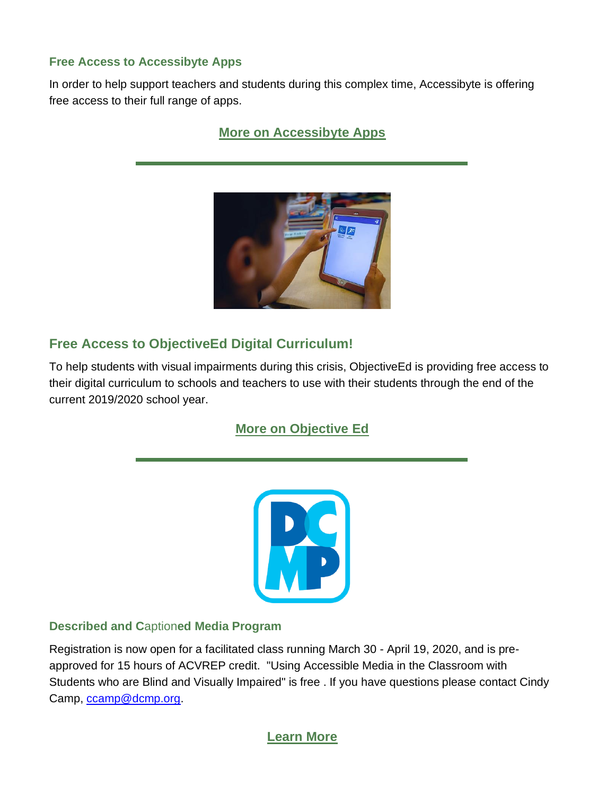#### **Free Access to Accessibyte Apps**

In order to help support teachers and students during this complex time, Accessibyte is offering free access to their full range of apps.

### **[More on Accessibyte Apps](https://urldefense.com/v3/__https:/pathstoliteracy.cmail19.com/t/d-l-mjtklut-gkriyijjj-q/__;!!JYXjzlvb!yefykLHHkCHq2h51NJg8XxW2xazWnIqlyh6vYadsLPK0yvjpMz3K1rxc-Ko9QGQ$)**



## **Free Access to ObjectiveEd Digital Curriculum!**

To help students with visual impairments during this crisis, ObjectiveEd is providing free access to their digital curriculum to schools and teachers to use with their students through the end of the current 2019/2020 school year.

## **[More on Objective Ed](https://urldefense.com/v3/__https:/pathstoliteracy.cmail19.com/t/d-l-mjtklut-gkriyijjj-z/__;!!JYXjzlvb!yefykLHHkCHq2h51NJg8XxW2xazWnIqlyh6vYadsLPK0yvjpMz3K1rxcwOKnDuo$)**



#### **Described and C**aption**ed Media Program**

Registration is now open for a facilitated class running March 30 - April 19, 2020, and is preapproved for 15 hours of ACVREP credit. "Using Accessible Media in the Classroom with Students who are Blind and Visually Impaired" is free . If you have questions please contact Cindy Camp, [ccamp@dcmp.org.](mailto:ccamp@dcmp.org)

### **[Learn More](https://urldefense.com/v3/__https:/pathstoliteracy.cmail19.com/t/d-l-mjtklut-gkriyijjj-s/__;!!JYXjzlvb!yefykLHHkCHq2h51NJg8XxW2xazWnIqlyh6vYadsLPK0yvjpMz3K1rxcr1iTvgo$)**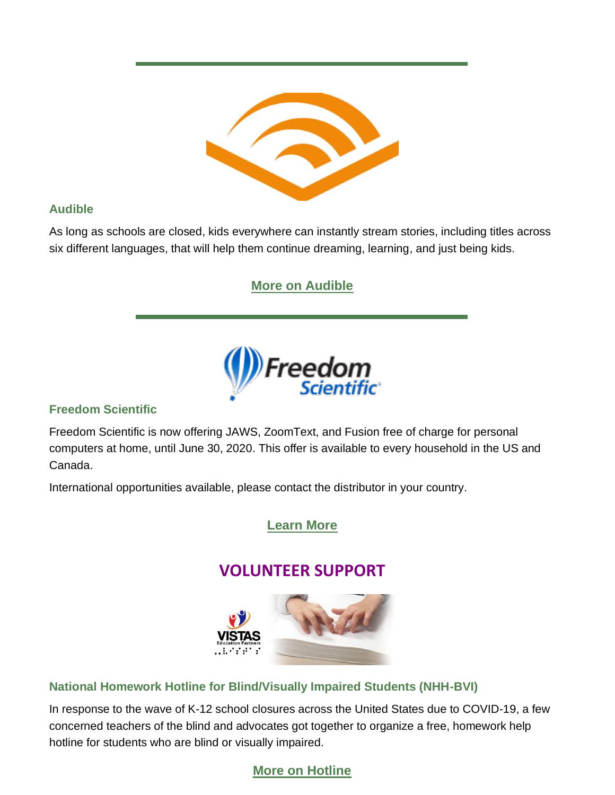

#### **Audible**

As long as schools are closed, kids everywhere can instantly stream stories, including titles across six different languages, that will help them continue dreaming, learning, and just being kids.

## **[More on Audible](https://urldefense.com/v3/__https:/pathstoliteracy.cmail19.com/t/d-l-mjtklut-gkriyijjj-yd/__;!!JYXjzlvb!yefykLHHkCHq2h51NJg8XxW2xazWnIqlyh6vYadsLPK0yvjpMz3K1rxcTyyaFBo$)**



#### **Freedom Scientific**

Freedom Scientific is now offering JAWS, ZoomText, and Fusion free of charge for personal computers at home, until June 30, 2020. This offer is available to every household in the US and Canada.

International opportunities available, please contact the distributor in your country.

### **[Learn More](https://urldefense.com/v3/__https:/pathstoliteracy.cmail19.com/t/d-l-mjtklut-gkriyijjj-yu/__;!!JYXjzlvb!yefykLHHkCHq2h51NJg8XxW2xazWnIqlyh6vYadsLPK0yvjpMz3K1rxcFkW1yFg$)**

## **VOLUNTEER SUPPORT**



#### **National Homework Hotline for Blind/Visually Impaired Students (NHH-BVI)**

In response to the wave of K-12 school closures across the United States due to COVID-19, a few concerned teachers of the blind and advocates got together to organize a free, homework help hotline for students who are blind or visually impaired.

## **[More on Hotline](https://urldefense.com/v3/__https:/pathstoliteracy.cmail19.com/t/d-l-mjtklut-gkriyijjj-jy/__;!!JYXjzlvb!yefykLHHkCHq2h51NJg8XxW2xazWnIqlyh6vYadsLPK0yvjpMz3K1rxcxCxoJWM$)**